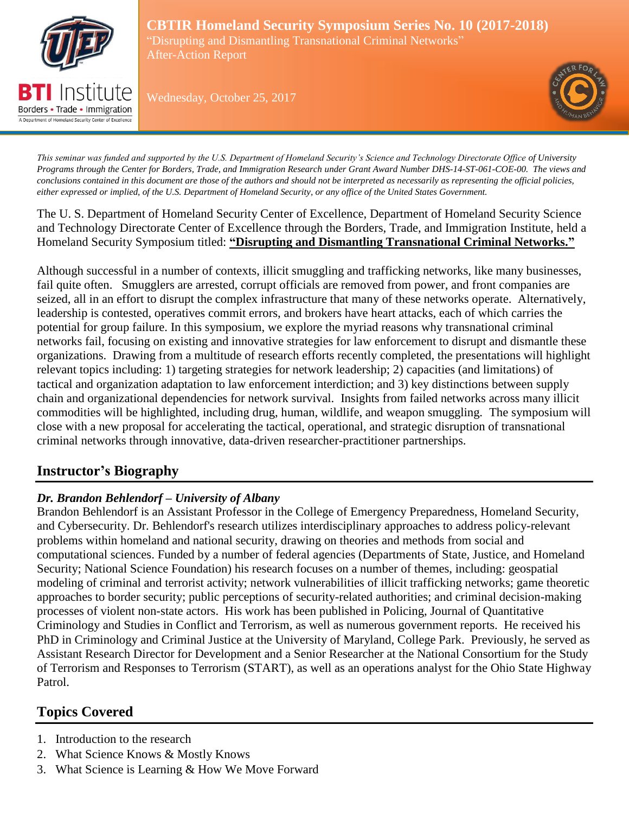

Borders • Trade • Immigration A Department of Homeland Security Center of Excelle

**CBTIR Homeland Security Symposium Series No. 10 (2017-2018)** "Disrupting and Dismantling Transnational Criminal Networks" After-Action Report

Wednesday, October 25, 2017



*This seminar was funded and supported by the U.S. Department of Homeland Security's Science and Technology Directorate Office of University Programs through the Center for Borders, Trade, and Immigration Research under Grant Award Number DHS-14-ST-061-COE-00. The views and conclusions contained in this document are those of the authors and should not be interpreted as necessarily as representing the official policies, either expressed or implied, of the U.S. Department of Homeland Security, or any office of the United States Government.*

The U. S. Department of Homeland Security Center of Excellence, Department of Homeland Security Science and Technology Directorate Center of Excellence through the Borders, Trade, and Immigration Institute, held a Homeland Security Symposium titled: **"Disrupting and Dismantling Transnational Criminal Networks."** 

Although successful in a number of contexts, illicit smuggling and trafficking networks, like many businesses, fail quite often. Smugglers are arrested, corrupt officials are removed from power, and front companies are seized, all in an effort to disrupt the complex infrastructure that many of these networks operate. Alternatively, leadership is contested, operatives commit errors, and brokers have heart attacks, each of which carries the potential for group failure. In this symposium, we explore the myriad reasons why transnational criminal networks fail, focusing on existing and innovative strategies for law enforcement to disrupt and dismantle these organizations. Drawing from a multitude of research efforts recently completed, the presentations will highlight relevant topics including: 1) targeting strategies for network leadership; 2) capacities (and limitations) of tactical and organization adaptation to law enforcement interdiction; and 3) key distinctions between supply chain and organizational dependencies for network survival. Insights from failed networks across many illicit commodities will be highlighted, including drug, human, wildlife, and weapon smuggling. The symposium will close with a new proposal for accelerating the tactical, operational, and strategic disruption of transnational criminal networks through innovative, data-driven researcher-practitioner partnerships.

# **Instructor's Biography**

## *Dr. Brandon Behlendorf – University of Albany*

Brandon Behlendorf is an Assistant Professor in the College of Emergency Preparedness, Homeland Security, and Cybersecurity. Dr. Behlendorf's research utilizes interdisciplinary approaches to address policy-relevant problems within homeland and national security, drawing on theories and methods from social and computational sciences. Funded by a number of federal agencies (Departments of State, Justice, and Homeland Security; National Science Foundation) his research focuses on a number of themes, including: geospatial modeling of criminal and terrorist activity; network vulnerabilities of illicit trafficking networks; game theoretic approaches to border security; public perceptions of security-related authorities; and criminal decision-making processes of violent non-state actors. His work has been published in Policing, Journal of Quantitative Criminology and Studies in Conflict and Terrorism, as well as numerous government reports. He received his PhD in Criminology and Criminal Justice at the University of Maryland, College Park. Previously, he served as Assistant Research Director for Development and a Senior Researcher at the National Consortium for the Study of Terrorism and Responses to Terrorism (START), as well as an operations analyst for the Ohio State Highway Patrol.

# **Topics Covered**

- 1. Introduction to the research
- 2. What Science Knows & Mostly Knows
- 3. What Science is Learning & How We Move Forward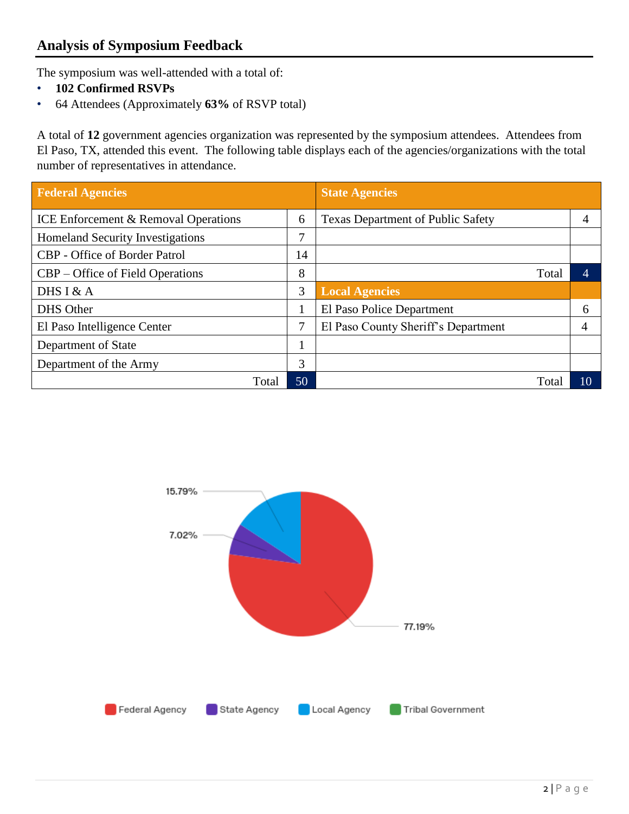## **Analysis of Symposium Feedback**

The symposium was well-attended with a total of:

- **102 Confirmed RSVPs**
- 64 Attendees (Approximately **63%** of RSVP total)

A total of **12** government agencies organization was represented by the symposium attendees. Attendees from El Paso, TX, attended this event. The following table displays each of the agencies/organizations with the total number of representatives in attendance.

| <b>Federal Agencies</b>                         |    | <b>State Agencies</b>                    |    |
|-------------------------------------------------|----|------------------------------------------|----|
| <b>ICE Enforcement &amp; Removal Operations</b> | 6  | <b>Texas Department of Public Safety</b> | 4  |
| <b>Homeland Security Investigations</b>         | 7  |                                          |    |
| CBP - Office of Border Patrol                   | 14 |                                          |    |
| CBP – Office of Field Operations                | 8  | Total                                    | Δ  |
| DHS I & $A$                                     | 3  | <b>Local Agencies</b>                    |    |
| DHS Other                                       |    | El Paso Police Department                | 6  |
| El Paso Intelligence Center                     | 7  | El Paso County Sheriff's Department      |    |
| Department of State                             |    |                                          |    |
| Department of the Army                          | 3  |                                          |    |
| Total                                           | 50 | Total                                    | 10 |

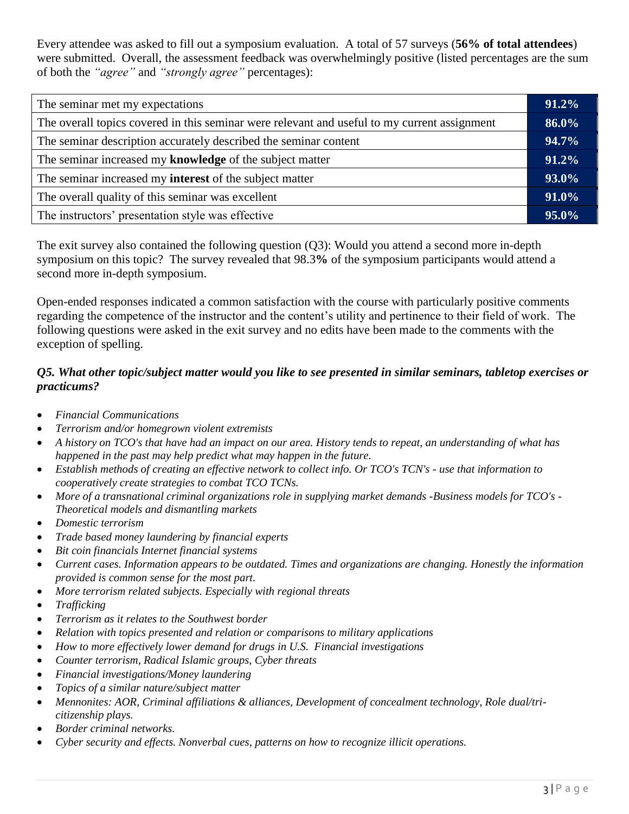Every attendee was asked to fill out a symposium evaluation. A total of 57 surveys (**56% of total attendees**) were submitted. Overall, the assessment feedback was overwhelmingly positive (listed percentages are the sum of both the *"agree"* and *"strongly agree"* percentages):

| The seminar met my expectations                                                              |  |
|----------------------------------------------------------------------------------------------|--|
| The overall topics covered in this seminar were relevant and useful to my current assignment |  |
| The seminar description accurately described the seminar content                             |  |
| The seminar increased my knowledge of the subject matter                                     |  |
| The seminar increased my <b>interest</b> of the subject matter                               |  |
| The overall quality of this seminar was excellent                                            |  |
| The instructors' presentation style was effective                                            |  |
|                                                                                              |  |

The exit survey also contained the following question (Q3): Would you attend a second more in-depth symposium on this topic? The survey revealed that 98.3**%** of the symposium participants would attend a second more in-depth symposium.

Open-ended responses indicated a common satisfaction with the course with particularly positive comments regarding the competence of the instructor and the content's utility and pertinence to their field of work. The following questions were asked in the exit survey and no edits have been made to the comments with the exception of spelling.

#### *Q5. What other topic/subject matter would you like to see presented in similar seminars, tabletop exercises or practicums?*

- *Financial Communications*
- *Terrorism and/or homegrown violent extremists*
- *A history on TCO's that have had an impact on our area. History tends to repeat, an understanding of what has happened in the past may help predict what may happen in the future.*
- *Establish methods of creating an effective network to collect info. Or TCO's TCN's - use that information to cooperatively create strategies to combat TCO TCNs.*
- *More of a transnational criminal organizations role in supplying market demands -Business models for TCO's - Theoretical models and dismantling markets*
- *Domestic terrorism*
- *Trade based money laundering by financial experts*
- *Bit coin financials Internet financial systems*
- *Current cases. Information appears to be outdated. Times and organizations are changing. Honestly the information provided is common sense for the most part.*
- *More terrorism related subjects. Especially with regional threats*
- *Trafficking*
- *Terrorism as it relates to the Southwest border*
- *Relation with topics presented and relation or comparisons to military applications*
- *How to more effectively lower demand for drugs in U.S. Financial investigations*
- *Counter terrorism, Radical Islamic groups, Cyber threats*
- *Financial investigations/Money laundering*
- *Topics of a similar nature/subject matter*
- *Mennonites: AOR, Criminal affiliations & alliances, Development of concealment technology, Role dual/tricitizenship plays.*
- *Border criminal networks.*
- *Cyber security and effects. Nonverbal cues, patterns on how to recognize illicit operations.*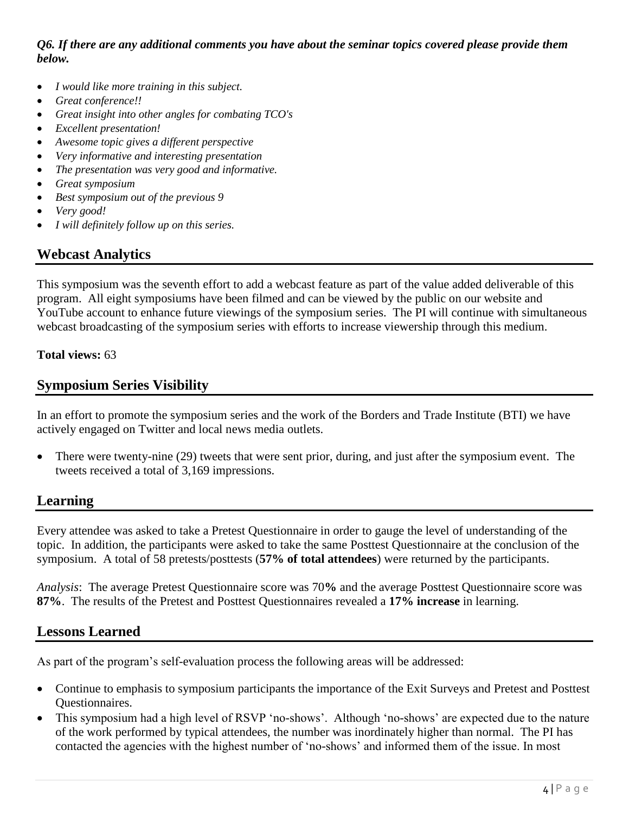*Q6. If there are any additional comments you have about the seminar topics covered please provide them below.* 

- *I would like more training in this subject.*
- *Great conference!!*
- *Great insight into other angles for combating TCO's*
- *Excellent presentation!*
- *Awesome topic gives a different perspective*
- *Very informative and interesting presentation*
- *The presentation was very good and informative.*
- *Great symposium*
- *Best symposium out of the previous 9*
- *Very good!*
- *I will definitely follow up on this series.*

# **Webcast Analytics**

This symposium was the seventh effort to add a webcast feature as part of the value added deliverable of this program. All eight symposiums have been filmed and can be viewed by the public on our website and YouTube account to enhance future viewings of the symposium series. The PI will continue with simultaneous webcast broadcasting of the symposium series with efforts to increase viewership through this medium.

#### **Total views:** 63

## **Symposium Series Visibility**

In an effort to promote the symposium series and the work of the Borders and Trade Institute (BTI) we have actively engaged on Twitter and local news media outlets.

 There were twenty-nine (29) tweets that were sent prior, during, and just after the symposium event. The tweets received a total of 3,169 impressions.

## **Learning**

Every attendee was asked to take a Pretest Questionnaire in order to gauge the level of understanding of the topic. In addition, the participants were asked to take the same Posttest Questionnaire at the conclusion of the symposium. A total of 58 pretests/posttests (**57% of total attendees**) were returned by the participants.

*Analysis*: The average Pretest Questionnaire score was 70**%** and the average Posttest Questionnaire score was **87%**. The results of the Pretest and Posttest Questionnaires revealed a **17% increase** in learning.

## **Lessons Learned**

As part of the program's self-evaluation process the following areas will be addressed:

- Continue to emphasis to symposium participants the importance of the Exit Surveys and Pretest and Posttest Questionnaires.
- This symposium had a high level of RSVP 'no-shows'. Although 'no-shows' are expected due to the nature of the work performed by typical attendees, the number was inordinately higher than normal. The PI has contacted the agencies with the highest number of 'no-shows' and informed them of the issue. In most